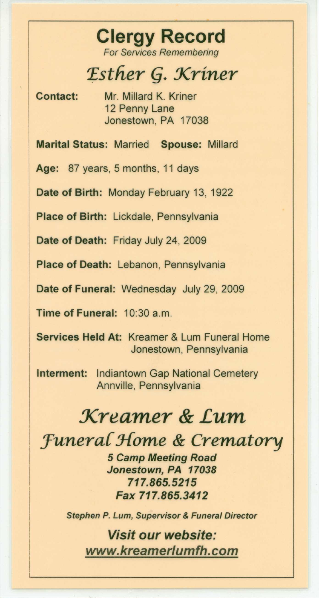## **Clergy Record** *For Services Remembering*

*Esther* **(1.** *Xriner*

**Contact:** Mr. Millard K. Kriner 12 Penny Lane Jonestown, PA 17038

**Marital Status:** Married **Spouse:** Millard

**Age:** 87 years, 5 months, 11 days

**Date of Birth:** Monday February 13, 1922

**Place of Birth:** Lickdale, Pennsylvania

**Date of Death:** Friday July 24, 2009

**Place of Death:** Lebanon, Pennsylvania

**Date of Funeral:** Wednesday July 29, 2009

**Time of Funeral:** 10:30 a.m.

**Services Held At:** Kreamer & Lum Funeral Home Jonestown, Pennsylvania

**Interment:** Indiantown Gap National Cemetery Annville, Pennsylvania

## *Kreamer* **&** *Lum*

*:Funera{ Home* **&** *Crematory*

*5 Camp Meeting Road Jonestown, PA 17038* **717.865.5215** *Fax 717.865.3412*

*Stephen P. Lum, Supervisor* & *Funeral Director*

*Visit our website: [www.kreamerlumfh.com](http://www.kreamerlumfh.com)*